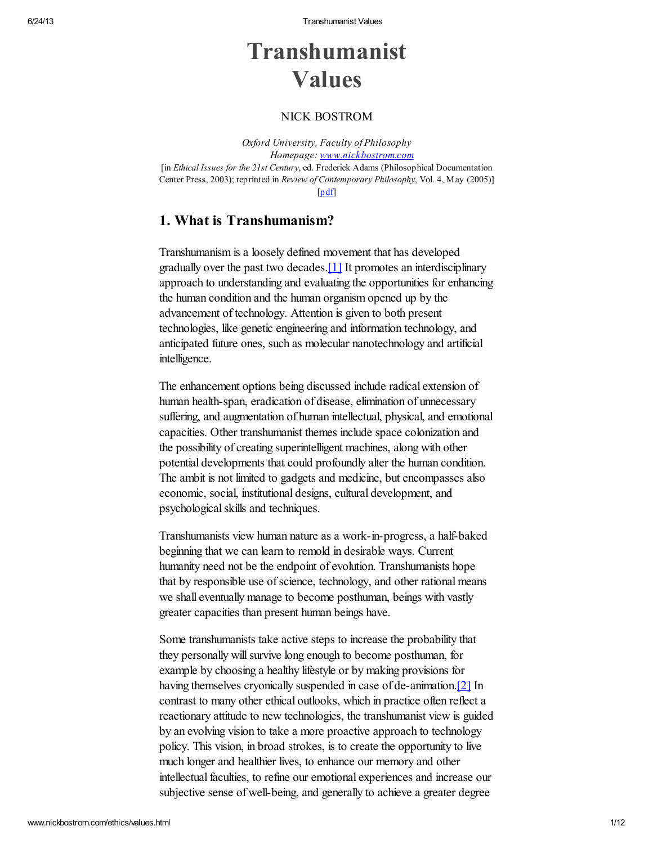# Transhumanist Values

## NICK BOSTROM

*Oxford University, Faculty of Philosophy Homepage: [www.nickbostrom.com](http://www.nickbostrom.com/)* [in *Ethical Issues for the 21st Century*, ed. Frederick Adams (Philosophical Documentation Center Press, 2003); reprinted in *Review of Contemporary Philosophy*, Vol. 4, May (2005)] [\[pdf\]](http://www.nickbostrom.com/ethics/values.pdf)

## 1. What is Transhumanism?

Transhumanism is a loosely defined movement that has developed gradually over the past two decades.[\[1\]](http://www.nickbostrom.com/ethics/values.html#_ftn1) It promotes an interdisciplinary approach to understanding and evaluating the opportunities for enhancing the human condition and the human organism opened up by the advancement of technology. Attention is given to both present technologies, like genetic engineering and information technology, and anticipated future ones, such as molecular nanotechnology and artificial intelligence.

The enhancement options being discussed include radical extension of human health-span, eradication of disease, elimination of unnecessary suffering, and augmentation of human intellectual, physical, and emotional capacities. Other transhumanist themes include space colonization and the possibility of creating superintelligent machines, along with other potential developments that could profoundly alter the human condition. The ambit is not limited to gadgets and medicine, but encompasses also economic, social, institutional designs, cultural development, and psychological skills and techniques.

Transhumanists view human nature as a work-in-progress, a half-baked beginning that we can learn to remold in desirable ways. Current humanity need not be the endpoint of evolution. Transhumanists hope that by responsible use of science, technology, and other rational means we shall eventually manage to become posthuman, beings with vastly greater capacities than present human beings have.

Some transhumanists take active steps to increase the probability that they personally will survive long enough to become posthuman, for example by choosing a healthy lifestyle or by making provisions for having themselves cryonically suspended in case of de-animation.[\[2\]](http://www.nickbostrom.com/ethics/values.html#_ftn2) In contrast to many other ethical outlooks, which in practice often reflect a reactionary attitude to new technologies, the transhumanist view is guided by an evolving vision to take a more proactive approach to technology policy. This vision, in broad strokes, is to create the opportunity to live much longer and healthier lives, to enhance our memory and other intellectual faculties, to refine our emotional experiences and increase our subjective sense of well-being, and generally to achieve a greater degree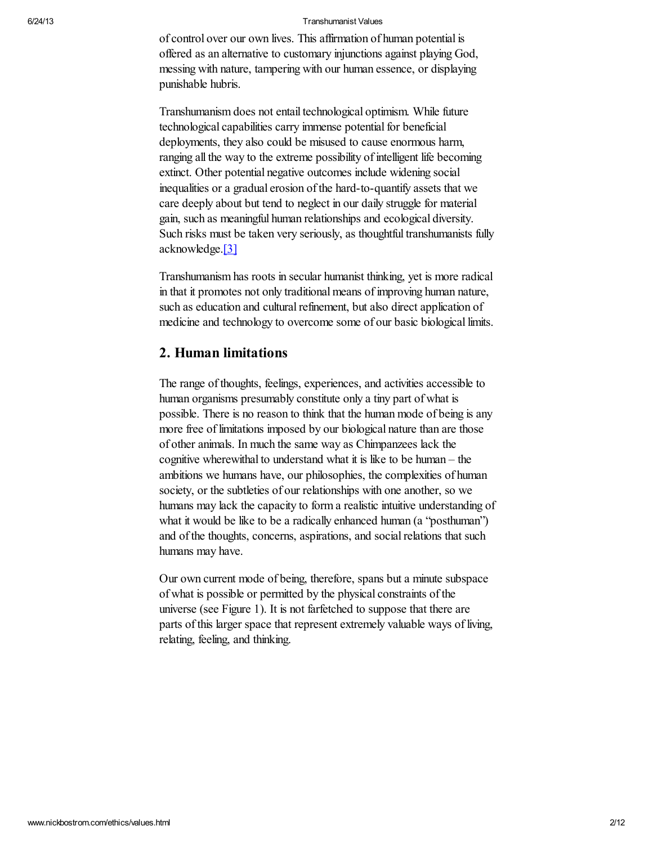of control over our own lives. This affirmation of human potential is offered as an alternative to customary injunctions against playing God, messing with nature, tampering with our human essence, or displaying punishable hubris.

Transhumanism does not entail technological optimism. While future technological capabilities carry immense potential for beneficial deployments, they also could be misused to cause enormous harm, ranging all the way to the extreme possibility of intelligent life becoming extinct. Other potential negative outcomes include widening social inequalities or a gradual erosion of the hard-to-quantify assets that we care deeply about but tend to neglect in our daily struggle for material gain, such as meaningful human relationships and ecological diversity. Such risks must be taken very seriously, as thoughtful transhumanists fully acknowledge[.\[3\]](http://www.nickbostrom.com/ethics/values.html#_ftn3)

Transhumanism has roots in secular humanist thinking, yet is more radical in that it promotes not only traditional means of improving human nature, such as education and cultural refinement, but also direct application of medicine and technology to overcome some of our basic biological limits.

# 2. Human limitations

The range of thoughts, feelings, experiences, and activities accessible to human organisms presumably constitute only a tiny part of what is possible. There is no reason to think that the human mode of being is any more free of limitations imposed by our biological nature than are those of other animals. In much the same way as Chimpanzees lack the cognitive wherewithal to understand what it is like to be human – the ambitions we humans have, our philosophies, the complexities of human society, or the subtleties of our relationships with one another, so we humans may lack the capacity to form a realistic intuitive understanding of what it would be like to be a radically enhanced human (a "posthuman") and of the thoughts, concerns, aspirations, and social relations that such humans may have.

Our own current mode of being, therefore, spans but a minute subspace of what is possible or permitted by the physical constraints of the universe (see Figure 1). It is not farfetched to suppose that there are parts of this larger space that represent extremely valuable ways of living, relating, feeling, and thinking.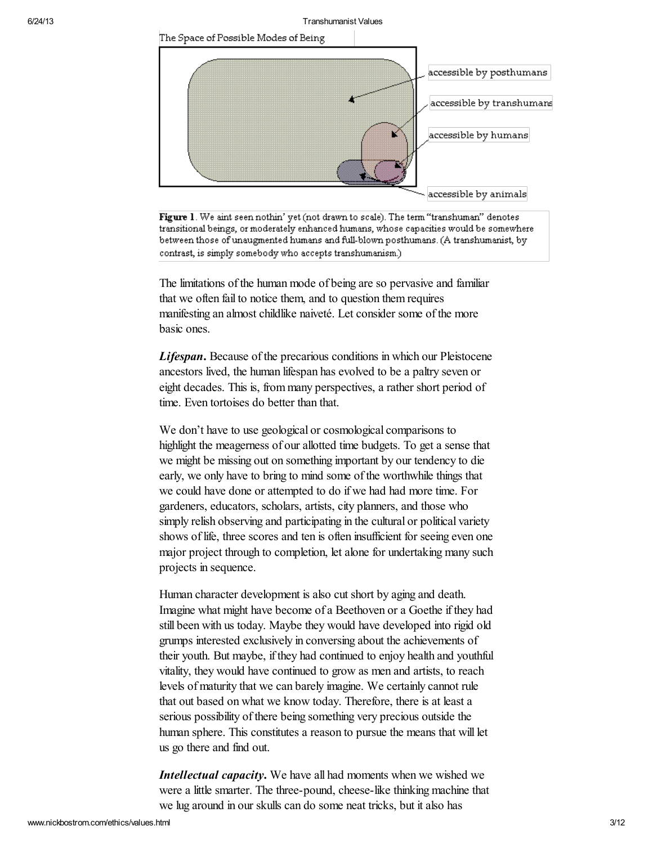The Space of Possible Modes of Being



Figure 1. We aint seen nothin' yet (not drawn to scale). The term "transhuman" denotes transitional beings, or moderately enhanced humans, whose capacities would be somewhere between those of unaugmented humans and full-blown posthumans. (A transhumanist, by contrast, is simply somebody who accepts transhumanism.)

The limitations of the human mode of being are so pervasive and familiar that we often fail to notice them, and to question them requires manifesting an almost childlike naiveté. Let consider some of the more basic ones.

*Lifespan*. Because of the precarious conditions in which our Pleistocene ancestors lived, the human lifespan has evolved to be a paltry seven or eight decades. This is, from many perspectives, a rather short period of time. Even tortoises do better than that.

We don't have to use geological or cosmological comparisons to highlight the meagerness of our allotted time budgets. To get a sense that we might be missing out on something important by our tendency to die early, we only have to bring to mind some of the worthwhile things that we could have done or attempted to do if we had had more time. For gardeners, educators, scholars, artists, city planners, and those who simply relish observing and participating in the cultural or political variety shows of life, three scores and ten is often insufficient for seeing even one major project through to completion, let alone for undertaking many such projects in sequence.

Human character development is also cut short by aging and death. Imagine what might have become of a Beethoven or a Goethe if they had still been with us today. Maybe they would have developed into rigid old grumps interested exclusively in conversing about the achievements of their youth. But maybe, if they had continued to enjoy health and youthful vitality, they would have continued to grow as men and artists, to reach levels of maturity that we can barely imagine. We certainly cannot rule that out based on what we know today. Therefore, there is at least a serious possibility of there being something very precious outside the human sphere. This constitutes a reason to pursue the means that will let us go there and find out.

*Intellectual capacity*. We have all had moments when we wished we were a little smarter. The three-pound, cheese-like thinking machine that we lug around in our skulls can do some neat tricks, but it also has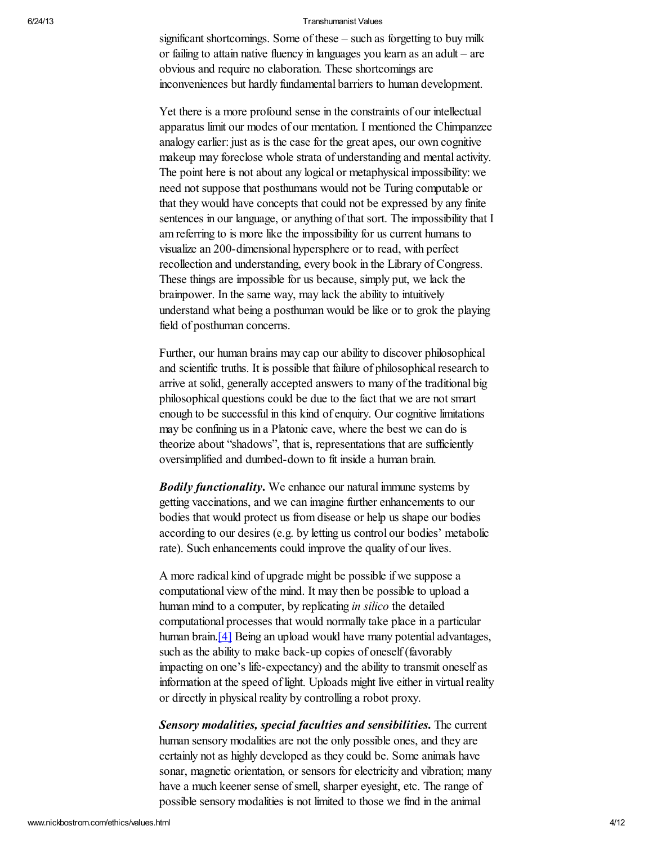significant shortcomings. Some of these – such as forgetting to buy milk or failing to attain native fluency in languages you learn as an adult – are obvious and require no elaboration. These shortcomings are inconveniences but hardly fundamental barriers to human development.

Yet there is a more profound sense in the constraints of our intellectual apparatus limit our modes of our mentation. I mentioned the Chimpanzee analogy earlier: just as is the case for the great apes, our own cognitive makeup may foreclose whole strata of understanding and mental activity. The point here is not about any logical or metaphysical impossibility: we need not suppose that posthumans would not be Turing computable or that they would have concepts that could not be expressed by any finite sentences in our language, or anything of that sort. The impossibility that I am referring to is more like the impossibility for us current humans to visualize an 200-dimensional hypersphere or to read, with perfect recollection and understanding, every book in the Library of Congress. These things are impossible for us because, simply put, we lack the brainpower. In the same way, may lack the ability to intuitively understand what being a posthuman would be like or to grok the playing field of posthuman concerns.

Further, our human brains may cap our ability to discover philosophical and scientific truths. It is possible that failure of philosophical research to arrive at solid, generally accepted answers to many of the traditional big philosophical questions could be due to the fact that we are not smart enough to be successful in this kind of enquiry. Our cognitive limitations may be confining us in a Platonic cave, where the best we can do is theorize about "shadows", that is, representations that are sufficiently oversimplified and dumbed-down to fit inside a human brain.

*Bodily functionality*. We enhance our natural immune systems by getting vaccinations, and we can imagine further enhancements to our bodies that would protect us from disease or help us shape our bodies according to our desires (e.g. by letting us control our bodies' metabolic rate). Such enhancements could improve the quality of our lives.

A more radical kind of upgrade might be possible if we suppose a computational view of the mind. It may then be possible to upload a human mind to a computer, by replicating *in silico* the detailed computational processes that would normally take place in a particular human brain.<sup>[4]</sup> Being an upload would have many potential advantages, such as the ability to make back-up copies of oneself (favorably impacting on one's life-expectancy) and the ability to transmit oneself as information at the speed of light. Uploads might live either in virtual reality or directly in physical reality by controlling a robot proxy.

*Sensory modalities, special faculties and sensibilities*. The current human sensory modalities are not the only possible ones, and they are certainly not as highly developed as they could be. Some animals have sonar, magnetic orientation, or sensors for electricity and vibration; many have a much keener sense of smell, sharper eyesight, etc. The range of possible sensory modalities is not limited to those we find in the animal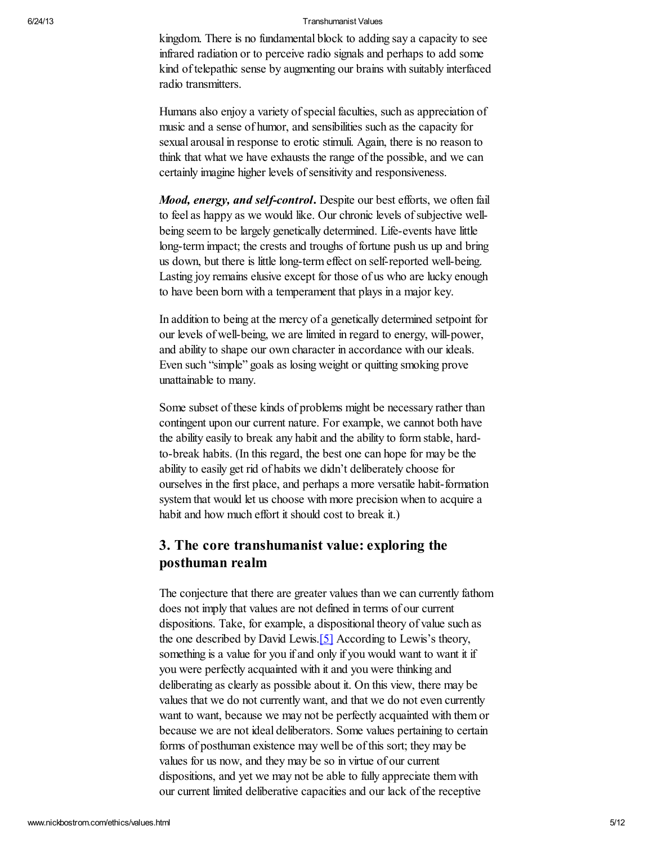kingdom. There is no fundamental block to adding say a capacity to see infrared radiation or to perceive radio signals and perhaps to add some kind of telepathic sense by augmenting our brains with suitably interfaced radio transmitters.

Humans also enjoy a variety of special faculties, such as appreciation of music and a sense of humor, and sensibilities such as the capacity for sexual arousal in response to erotic stimuli. Again, there is no reason to think that what we have exhausts the range of the possible, and we can certainly imagine higher levels of sensitivity and responsiveness.

*Mood, energy, and self-control*. Despite our best efforts, we often fail to feel as happy as we would like. Our chronic levels of subjective wellbeing seem to be largely genetically determined. Life-events have little long-term impact; the crests and troughs of fortune push us up and bring us down, but there is little long-term effect on self-reported well-being. Lasting joy remains elusive except for those of us who are lucky enough to have been born with a temperament that plays in a major key.

In addition to being at the mercy of a genetically determined setpoint for our levels of well-being, we are limited in regard to energy, will-power, and ability to shape our own character in accordance with our ideals. Even such "simple" goals as losing weight or quitting smoking prove unattainable to many.

Some subset of these kinds of problems might be necessary rather than contingent upon our current nature. For example, we cannot both have the ability easily to break any habit and the ability to form stable, hardto-break habits. (In this regard, the best one can hope for may be the ability to easily get rid of habits we didn't deliberately choose for ourselves in the first place, and perhaps a more versatile habit-formation system that would let us choose with more precision when to acquire a habit and how much effort it should cost to break it.)

# 3. The core transhumanist value: exploring the posthuman realm

The conjecture that there are greater values than we can currently fathom does not imply that values are not defined in terms of our current dispositions. Take, for example, a dispositional theory of value such as the one described by David Lewis.[\[5\]](http://www.nickbostrom.com/ethics/values.html#_ftn5) According to Lewis's theory, something is a value for you if and only if you would want to want it if you were perfectly acquainted with it and you were thinking and deliberating as clearly as possible about it. On this view, there may be values that we do not currently want, and that we do not even currently want to want, because we may not be perfectly acquainted with them or because we are not ideal deliberators. Some values pertaining to certain forms of posthuman existence may well be of this sort; they may be values for us now, and they may be so in virtue of our current dispositions, and yet we may not be able to fully appreciate them with our current limited deliberative capacities and our lack of the receptive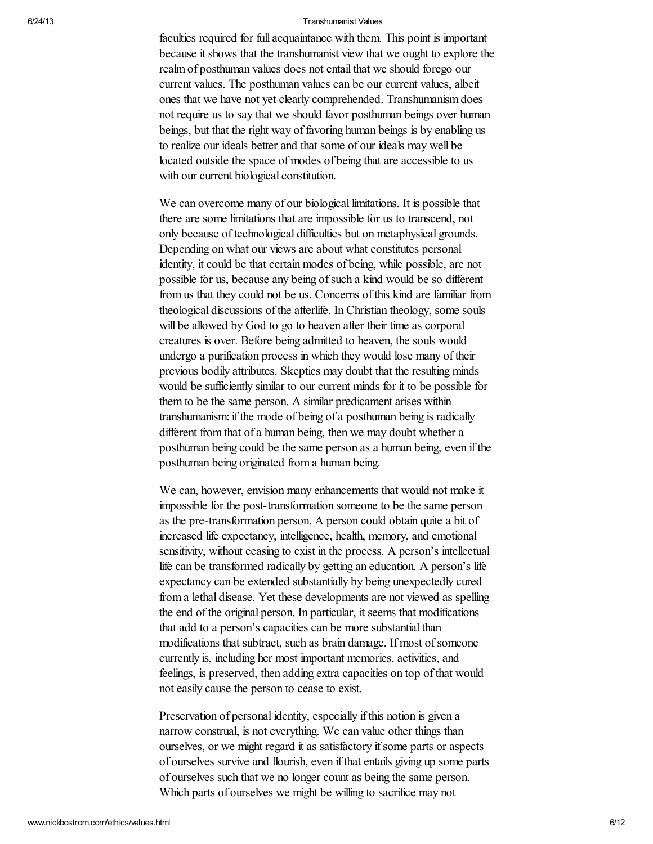faculties required for full acquaintance with them. This point is important because it shows that the transhumanist view that we ought to explore the realm of posthuman values does not entail that we should forego our current values. The posthuman values can be our current values, albeit ones that we have not yet clearly comprehended. Transhumanism does not require us to say that we should favor posthuman beings over human beings, but that the right way of favoring human beings is by enabling us to realize our ideals better and that some of our ideals may well be located outside the space of modes of being that are accessible to us with our current biological constitution.

We can overcome many of our biological limitations. It is possible that there are some limitations that are impossible for us to transcend, not only because of technological difficulties but on metaphysical grounds. Depending on what our views are about what constitutes personal identity, it could be that certain modes of being, while possible, are not possible for us, because any being of such a kind would be so different from us that they could not be us. Concerns of this kind are familiar from theological discussions of the afterlife. In Christian theology, some souls will be allowed by God to go to heaven after their time as corporal creatures is over. Before being admitted to heaven, the souls would undergo a purification process in which they would lose many of their previous bodily attributes. Skeptics may doubt that the resulting minds would be sufficiently similar to our current minds for it to be possible for them to be the same person. A similar predicament arises within transhumanism: if the mode of being of a posthuman being is radically different from that of a human being, then we may doubt whether a posthuman being could be the same person as a human being, even if the posthuman being originated from a human being.

We can, however, envision many enhancements that would not make it impossible for the post-transformation someone to be the same person as the pre-transformation person. A person could obtain quite a bit of increased life expectancy, intelligence, health, memory, and emotional sensitivity, without ceasing to exist in the process. A person's intellectual life can be transformed radically by getting an education. A person's life expectancy can be extended substantially by being unexpectedly cured from a lethal disease. Yet these developments are not viewed as spelling the end of the original person. In particular, it seems that modifications that add to a person's capacities can be more substantial than modifications that subtract, such as brain damage. If most of someone currently is, including her most important memories, activities, and feelings, is preserved, then adding extra capacities on top of that would not easily cause the person to cease to exist.

Preservation of personal identity, especially if this notion is given a narrow construal, is not everything. We can value other things than ourselves, or we might regard it as satisfactory if some parts or aspects of ourselves survive and flourish, even if that entails giving up some parts of ourselves such that we no longer count as being the same person. Which parts of ourselves we might be willing to sacrifice may not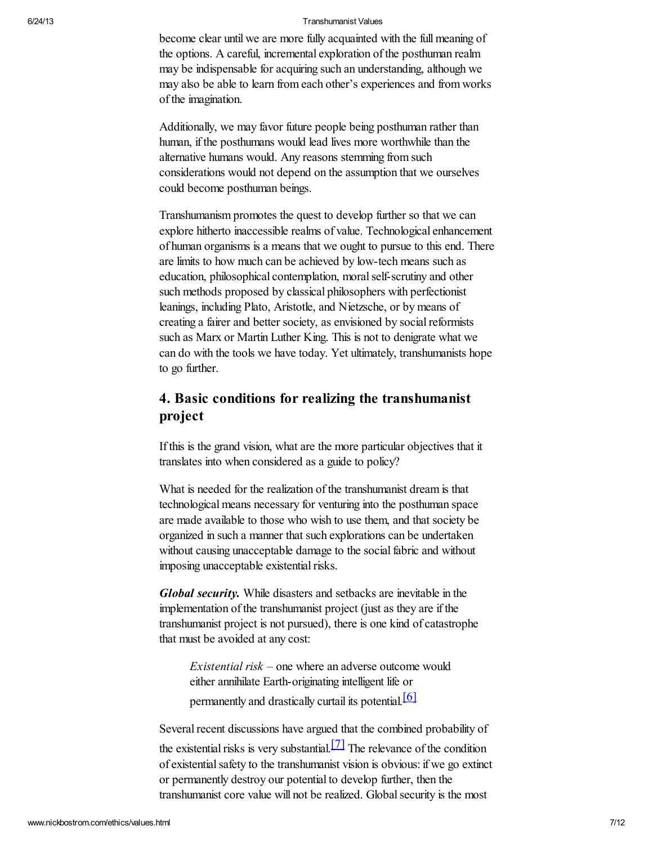become clear until we are more fully acquainted with the full meaning of the options. A careful, incremental exploration of the posthuman realm may be indispensable for acquiring such an understanding, although we may also be able to learn from each other's experiences and from works of the imagination.

Additionally, we may favor future people being posthuman rather than human, if the posthumans would lead lives more worthwhile than the alternative humans would. Any reasons stemming from such considerations would not depend on the assumption that we ourselves could become posthuman beings.

Transhumanism promotes the quest to develop further so that we can explore hitherto inaccessible realms of value. Technological enhancement of human organisms is a means that we ought to pursue to this end. There are limits to how much can be achieved by low-tech means such as education, philosophical contemplation, moralself-scrutiny and other such methods proposed by classical philosophers with perfectionist leanings, including Plato, Aristotle, and Nietzsche, or by means of creating a fairer and better society, as envisioned by social reformists such as Marx or Martin Luther King. This is not to denigrate what we can do with the tools we have today. Yet ultimately, transhumanists hope to go further.

# 4. Basic conditions for realizing the transhumanist project

If this is the grand vision, what are the more particular objectives that it translates into when considered as a guide to policy?

What is needed for the realization of the transhumanist dream is that technological means necessary for venturing into the posthuman space are made available to those who wish to use them, and that society be organized in such a manner that such explorations can be undertaken without causing unacceptable damage to the social fabric and without imposing unacceptable existential risks.

*Global security.* While disasters and setbacks are inevitable in the implementation of the transhumanist project (just as they are if the transhumanist project is not pursued), there is one kind of catastrophe that must be avoided at any cost:

*Existential risk* – one where an adverse outcome would either annihilate Earth-originating intelligent life or permanently and drastically curtail its potential.<sup>[\[6\]](http://www.nickbostrom.com/ethics/values.html#_ftn6)</sup>

Several recent discussions have argued that the combined probability of the existential risks is very substantial.  $\boxed{7}$  The relevance of the condition of existentialsafety to the transhumanist vision is obvious: if we go extinct or permanently destroy our potential to develop further, then the transhumanist core value will not be realized. Global security is the most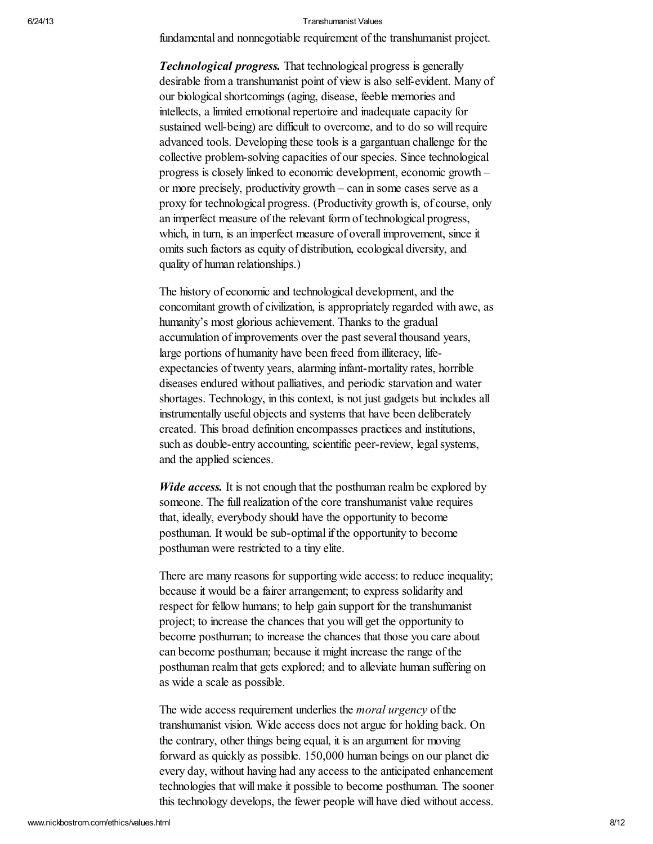fundamental and nonnegotiable requirement of the transhumanist project.

*Technological progress.* That technological progress is generally desirable from a transhumanist point of view is also self-evident. Many of our biological shortcomings (aging, disease, feeble memories and intellects, a limited emotional repertoire and inadequate capacity for sustained well-being) are difficult to overcome, and to do so will require advanced tools. Developing these tools is a gargantuan challenge for the collective problem-solving capacities of our species. Since technological progress is closely linked to economic development, economic growth – or more precisely, productivity growth – can in some cases serve as a proxy for technological progress. (Productivity growth is, of course, only an imperfect measure of the relevant form of technological progress, which, in turn, is an imperfect measure of overall improvement, since it omits such factors as equity of distribution, ecological diversity, and quality of human relationships.)

The history of economic and technological development, and the concomitant growth of civilization, is appropriately regarded with awe, as humanity's most glorious achievement. Thanks to the gradual accumulation of improvements over the past several thousand years, large portions of humanity have been freed from illiteracy, lifeexpectancies of twenty years, alarming infant-mortality rates, horrible diseases endured without palliatives, and periodic starvation and water shortages. Technology, in this context, is not just gadgets but includes all instrumentally useful objects and systems that have been deliberately created. This broad definition encompasses practices and institutions, such as double-entry accounting, scientific peer-review, legal systems, and the applied sciences.

*Wide access*. It is not enough that the posthuman realm be explored by someone. The full realization of the core transhumanist value requires that, ideally, everybody should have the opportunity to become posthuman. It would be sub-optimal if the opportunity to become posthuman were restricted to a tiny elite.

There are many reasons for supporting wide access: to reduce inequality; because it would be a fairer arrangement; to express solidarity and respect for fellow humans; to help gain support for the transhumanist project; to increase the chances that you will get the opportunity to become posthuman; to increase the chances that those you care about can become posthuman; because it might increase the range of the posthuman realm that gets explored; and to alleviate human suffering on as wide a scale as possible.

The wide access requirement underlies the *moral urgency* of the transhumanist vision. Wide access does not argue for holding back. On the contrary, other things being equal, it is an argument for moving forward as quickly as possible. 150,000 human beings on our planet die every day, without having had any access to the anticipated enhancement technologies that will make it possible to become posthuman. The sooner this technology develops, the fewer people will have died without access.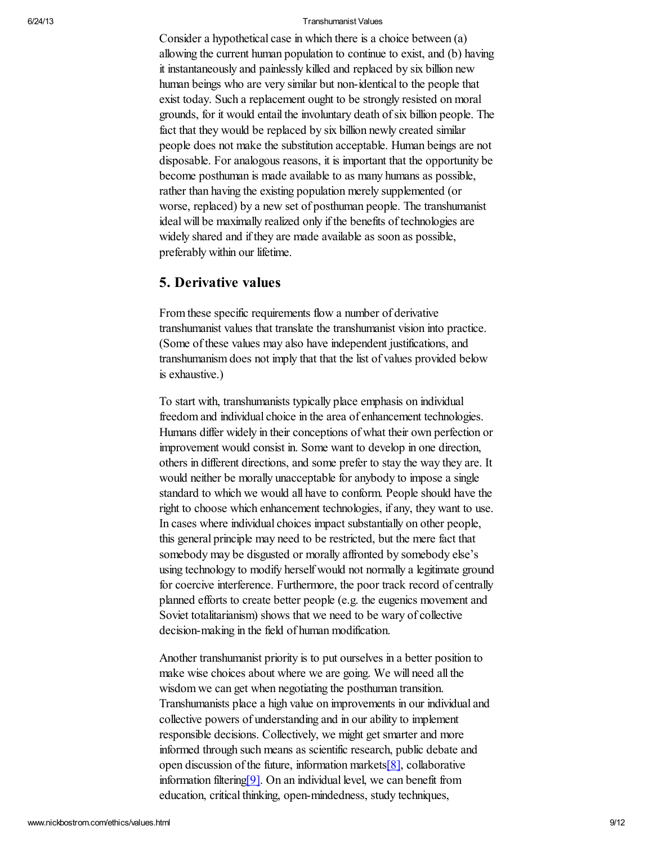Consider a hypothetical case in which there is a choice between (a) allowing the current human population to continue to exist, and (b) having it instantaneously and painlessly killed and replaced by six billion new human beings who are very similar but non-identical to the people that exist today. Such a replacement ought to be strongly resisted on moral grounds, for it would entail the involuntary death ofsix billion people. The fact that they would be replaced by six billion newly created similar people does not make the substitution acceptable. Human beings are not disposable. For analogous reasons, it is important that the opportunity be become posthuman is made available to as many humans as possible, rather than having the existing population merely supplemented (or worse, replaced) by a new set of posthuman people. The transhumanist ideal will be maximally realized only if the benefits of technologies are widely shared and if they are made available as soon as possible, preferably within our lifetime.

# 5. Derivative values

From these specific requirements flow a number of derivative transhumanist values that translate the transhumanist vision into practice. (Some of these values may also have independent justifications, and transhumanism does not imply that that the list of values provided below is exhaustive.)

To start with, transhumanists typically place emphasis on individual freedom and individual choice in the area of enhancement technologies. Humans differ widely in their conceptions of what their own perfection or improvement would consist in. Some want to develop in one direction, others in different directions, and some prefer to stay the way they are. It would neither be morally unacceptable for anybody to impose a single standard to which we would all have to conform. People should have the right to choose which enhancement technologies, if any, they want to use. In cases where individual choices impact substantially on other people, this general principle may need to be restricted, but the mere fact that somebody may be disgusted or morally affronted by somebody else's using technology to modify herself would not normally a legitimate ground for coercive interference. Furthermore, the poor track record of centrally planned efforts to create better people (e.g. the eugenics movement and Soviet totalitarianism) shows that we need to be wary of collective decision-making in the field of human modification.

Another transhumanist priority is to put ourselves in a better position to make wise choices about where we are going. We will need all the wisdom we can get when negotiating the posthuman transition. Transhumanists place a high value on improvements in our individual and collective powers of understanding and in our ability to implement responsible decisions. Collectively, we might get smarter and more informed through such means as scientific research, public debate and open discussion of the future, information markets[\[8\],](http://www.nickbostrom.com/ethics/values.html#_ftn8) collaborative information filterin[g\[9\].](http://www.nickbostrom.com/ethics/values.html#_ftn9) On an individual level, we can benefit from education, critical thinking, open-mindedness, study techniques,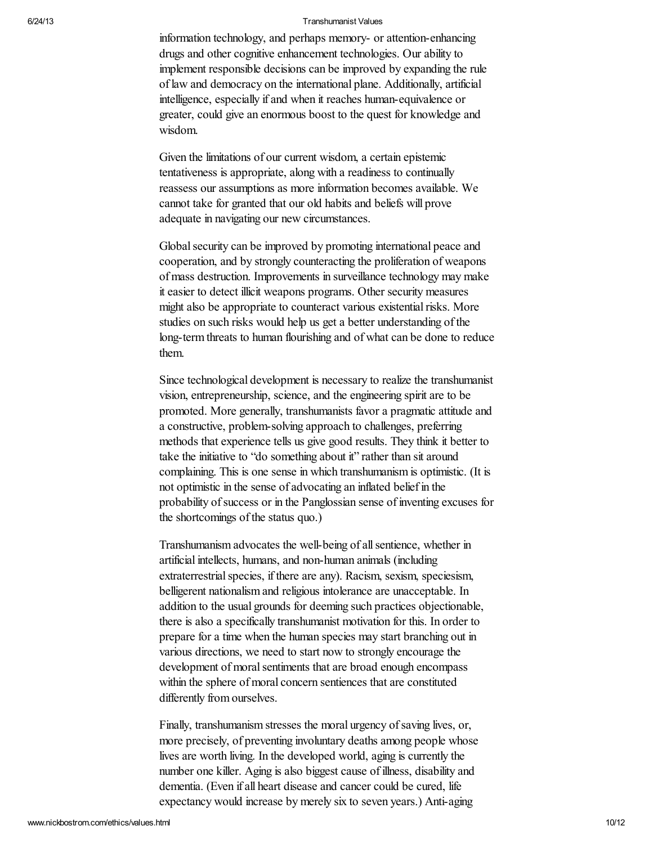information technology, and perhaps memory- or attention-enhancing drugs and other cognitive enhancement technologies. Our ability to implement responsible decisions can be improved by expanding the rule of law and democracy on the international plane. Additionally, artificial intelligence, especially if and when it reaches human-equivalence or greater, could give an enormous boost to the quest for knowledge and wisdom.

Given the limitations of our current wisdom, a certain epistemic tentativeness is appropriate, along with a readiness to continually reassess our assumptions as more information becomes available. We cannot take for granted that our old habits and beliefs will prove adequate in navigating our new circumstances.

Global security can be improved by promoting international peace and cooperation, and by strongly counteracting the proliferation of weapons of mass destruction. Improvements in surveillance technology may make it easier to detect illicit weapons programs. Other security measures might also be appropriate to counteract various existential risks. More studies on such risks would help us get a better understanding of the long-term threats to human flourishing and of what can be done to reduce them.

Since technological development is necessary to realize the transhumanist vision, entrepreneurship, science, and the engineering spirit are to be promoted. More generally, transhumanists favor a pragmatic attitude and a constructive, problem-solving approach to challenges, preferring methods that experience tells us give good results. They think it better to take the initiative to "do something about it" rather than sit around complaining. This is one sense in which transhumanism is optimistic. (It is not optimistic in the sense of advocating an inflated belief in the probability of success or in the Panglossian sense of inventing excuses for the shortcomings of the status quo.)

Transhumanism advocates the well-being of allsentience, whether in artificial intellects, humans, and non-human animals (including extraterrestrial species, if there are any). Racism, sexism, speciesism, belligerent nationalism and religious intolerance are unacceptable. In addition to the usual grounds for deeming such practices objectionable, there is also a specifically transhumanist motivation for this. In order to prepare for a time when the human species may start branching out in various directions, we need to start now to strongly encourage the development of moral sentiments that are broad enough encompass within the sphere of moral concern sentiences that are constituted differently from ourselves.

Finally, transhumanism stresses the moral urgency of saving lives, or, more precisely, of preventing involuntary deaths among people whose lives are worth living. In the developed world, aging is currently the number one killer. Aging is also biggest cause of illness, disability and dementia. (Even if all heart disease and cancer could be cured, life expectancy would increase by merely six to seven years.) Anti-aging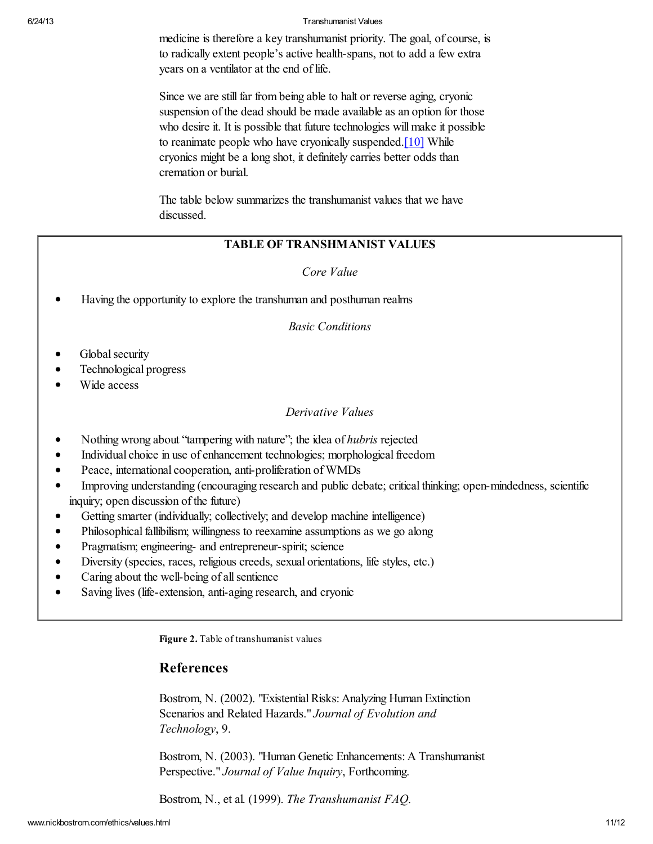medicine is therefore a key transhumanist priority. The goal, of course, is to radically extent people's active health-spans, not to add a few extra years on a ventilator at the end of life.

Since we are still far from being able to halt or reverse aging, cryonic suspension of the dead should be made available as an option for those who desire it. It is possible that future technologies will make it possible to reanimate people who have cryonically suspended.<sup>[10]</sup> While cryonics might be a long shot, it definitely carries better odds than cremation or burial.

The table below summarizes the transhumanist values that we have discussed.

### TABLE OF TRANSHMANIST VALUES

*Core Value*

Having the opportunity to explore the transhuman and posthuman realms

### *Basic Conditions*

- Global security
- Technological progress
- Wide access

### *Derivative Values*

- Nothing wrong about "tampering with nature"; the idea of *hubris* rejected  $\bullet$
- Individual choice in use of enhancement technologies; morphological freedom  $\bullet$
- Peace, international cooperation, anti-proliferation of WMDs  $\bullet$
- Improving understanding (encouraging research and public debate; critical thinking; open-mindedness, scientific  $\bullet$ inquiry; open discussion of the future)
- Getting smarter (individually; collectively; and develop machine intelligence)  $\bullet$
- Philosophical fallibilism; willingness to reexamine assumptions as we go along  $\bullet$
- $\bullet$ Pragmatism; engineering- and entrepreneur-spirit; science
- Diversity (species, races, religious creeds, sexual orientations, life styles, etc.)  $\bullet$
- Caring about the well-being of allsentience  $\bullet$
- Saving lives (life-extension, anti-aging research, and cryonic  $\bullet$

Figure 2. Table of transhumanist values

# References

Bostrom, N. (2002). "Existential Risks: Analyzing Human Extinction Scenarios and Related Hazards." *Journal of Evolution and Technology*, 9.

Bostrom, N. (2003). "Human Genetic Enhancements: A Transhumanist Perspective." *Journal of Value Inquiry*, Forthcoming.

Bostrom, N., et al. (1999). *The Transhumanist FAQ*.